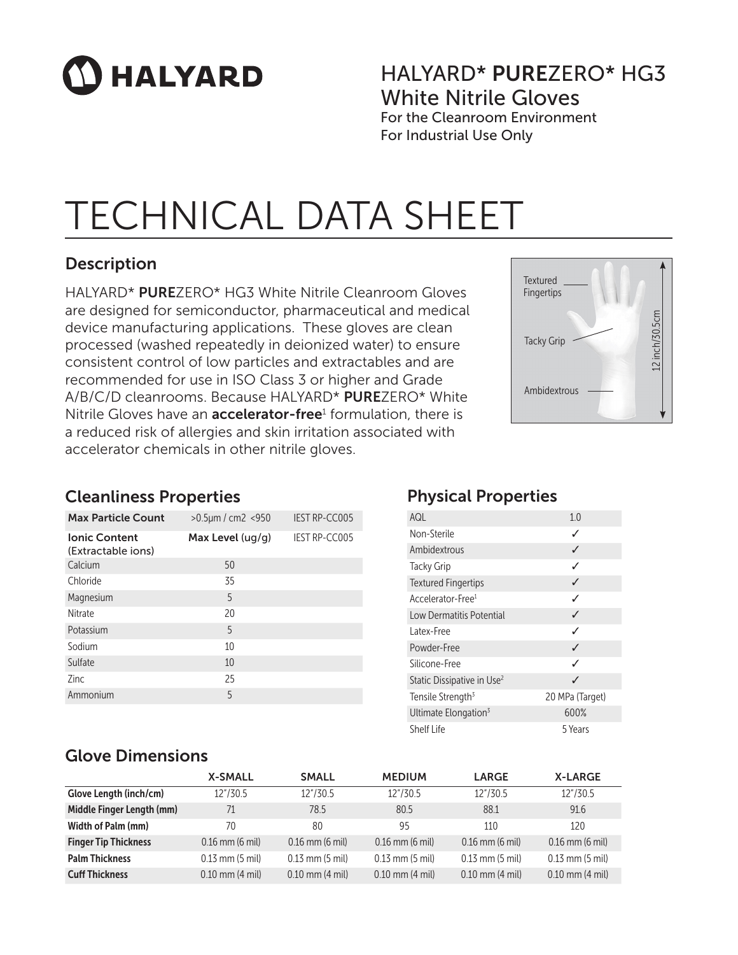# **HALYARD**

### HALYARD\* PUREZERO\* HG3 White Nitrile Gloves For the Cleanroom Environment

For Industrial Use Only

## TECHNICAL DATA SHEET

### Description

HALYARD\* PUREZERO\* HG3 White Nitrile Cleanroom Gloves are designed for semiconductor, pharmaceutical and medical device manufacturing applications. These gloves are clean processed (washed repeatedly in deionized water) to ensure consistent control of low particles and extractables and are recommended for use in ISO Class 3 or higher and Grade A/B/C/D cleanrooms. Because HALYARD\* PUREZERO\* White Nitrile Gloves have an **accelerator-free**<sup>1</sup> formulation, there is a reduced risk of allergies and skin irritation associated with accelerator chemicals in other nitrile gloves.



#### Cleanliness Properties

| <b>Max Particle Count</b>                  | $>0.5 \mu m / cm^2 < 950$ | <b>IEST RP-CC005</b> |
|--------------------------------------------|---------------------------|----------------------|
| <b>Ionic Content</b><br>(Extractable ions) | Max Level (ug/g)          | <b>IEST RP-CC005</b> |
| Calcium                                    | 50                        |                      |
| Chloride                                   | 35                        |                      |
| Magnesium                                  | 5                         |                      |
| Nitrate                                    | 20                        |                      |
| Potassium                                  | 5                         |                      |
| Sodium                                     | 10                        |                      |
| Sulfate                                    | 10                        |                      |
| <b>Zinc</b>                                | 25                        |                      |
| Ammonium                                   | 5                         |                      |

### Physical Properties

| AQL                                    | 1.0             |
|----------------------------------------|-----------------|
| Non-Sterile                            | ✓               |
| Ambidextrous                           | ✓               |
| <b>Tacky Grip</b>                      | ✓               |
| <b>Textured Fingertips</b>             | ✓               |
| Accelerator-Free <sup>1</sup>          | ℐ               |
| Low Dermatitis Potential               | ✓               |
| Latex-Free                             | ℐ               |
| Powder-Free                            | ✓               |
| Silicone-Free                          | ✓               |
| Static Dissipative in Use <sup>2</sup> | ✓               |
| Tensile Strength <sup>3</sup>          | 20 MPa (Target) |
| Ultimate Elongation <sup>3</sup>       | 600%            |
| Shelf Life                             | 5 Years         |

#### Glove Dimensions

|                             | <b>X-SMALL</b>      | <b>SMALL</b>        | <b>MEDIUM</b>       | <b>LARGE</b>        | <b>X-LARGE</b>      |
|-----------------------------|---------------------|---------------------|---------------------|---------------------|---------------------|
| Glove Length (inch/cm)      | 12"/30.5            | 12"/30.5            | 12"/30.5            | 12"/30.5            | 12"/30.5            |
| Middle Finger Length (mm)   | 71                  | 78.5                | 80.5                | 88.1                | 91.6                |
| Width of Palm (mm)          | 70                  | 80                  | 95                  | 110                 | 120                 |
| <b>Finger Tip Thickness</b> | $0.16$ mm $(6$ mil) | $0.16$ mm $(6$ mil) | $0.16$ mm $(6$ mil) | $0.16$ mm (6 mil)   | $0.16$ mm (6 mil)   |
| <b>Palm Thickness</b>       | $0.13$ mm $(5$ mil) | $0.13$ mm $(5$ mil) | $0.13$ mm $(5$ mil) | $0.13$ mm $(5$ mil) | $0.13$ mm $(5$ mil) |
| <b>Cuff Thickness</b>       | $0.10$ mm $(4$ mil) | $0.10$ mm $(4$ mil) | $0.10$ mm $(4$ mil) | $0.10$ mm $(4$ mil) | $0.10$ mm $(4$ mil) |